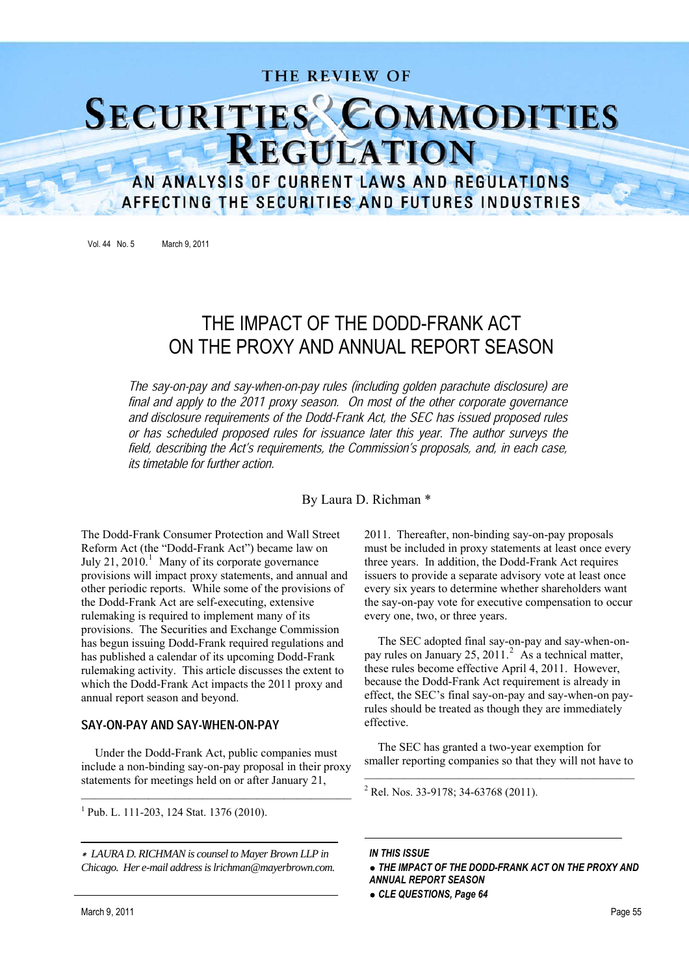# THE REVIEW OF **SECURITIES** COMMODITIES **REGULATION**

# AN ANALYSIS OF CURRENT LAWS AND REGULATIONS AFFECTING THE SECURITIES AND FUTURES INDUSTRIES

Vol. 44 No. 5 March 9, 2011

# THE IMPACT OF THE DODD-FRANK ACT ON THE PROXY AND ANNUAL REPORT SEASON

The say-on-pay and say-when-on-pay rules (including golden parachute disclosure) are final and apply to the 2011 proxy season. On most of the other corporate governance and disclosure requirements of the Dodd-Frank Act, the SEC has issued proposed rules or has scheduled proposed rules for issuance later this year. The author surveys the field, describing the Act's requirements, the Commission's proposals, and, in each case, its timetable for further action.

By Laura D. Richman \*

The Dodd-Frank Consumer Protection and Wall Street Reform Act (the "Dodd-Frank Act") became law on July 21, 2010.<sup>1</sup> Many of its corporate governance provisions will impact proxy statements, and annual and other periodic reports. While some of the provisions of the Dodd-Frank Act are self-executing, extensive rulemaking is required to implement many of its provisions. The Securities and Exchange Commission has begun issuing Dodd-Frank required regulations and has published a calendar of its upcoming Dodd-Frank rulemaking activity. This article discusses the extent to which the Dodd-Frank Act impacts the 2011 proxy and annual report season and beyond.

#### SAY-ON-PAY AND SAY-WHEN-ON-PAY

Under the Dodd-Frank Act, public companies must include a non-binding say-on-pay proposal in their proxy statements for meetings held on or after January 21,

 <sup>1</sup> Pub. L. 111-203, 124 Stat. 1376 (2010).

*LAURA D. RICHMAN is counsel to Mayer Brown LLP in Chicago. Her e-mail address is lrichman@mayerbrown.com.* 2011. Thereafter, non-binding say-on-pay proposals must be included in proxy statements at least once every three years. In addition, the Dodd-Frank Act requires issuers to provide a separate advisory vote at least once every six years to determine whether shareholders want the say-on-pay vote for executive compensation to occur every one, two, or three years.

The SEC adopted final say-on-pay and say-when-onpay rules on January 25, 2011.<sup>2</sup> As a technical matter, these rules become effective April 4, 2011. However, because the Dodd-Frank Act requirement is already in effect, the SEC's final say-on-pay and say-when-on payrules should be treated as though they are immediately effective.

The SEC has granted a two-year exemption for smaller reporting companies so that they will not have to

<sup>2</sup> Rel. Nos. 33-9178; 34-63768 (2011).

*IN THIS ISSUE THE IMPACT OF THE DODD-FRANK ACT ON THE PROXY AND ANNUAL REPORT SEASON CLE QUESTIONS, Page 64*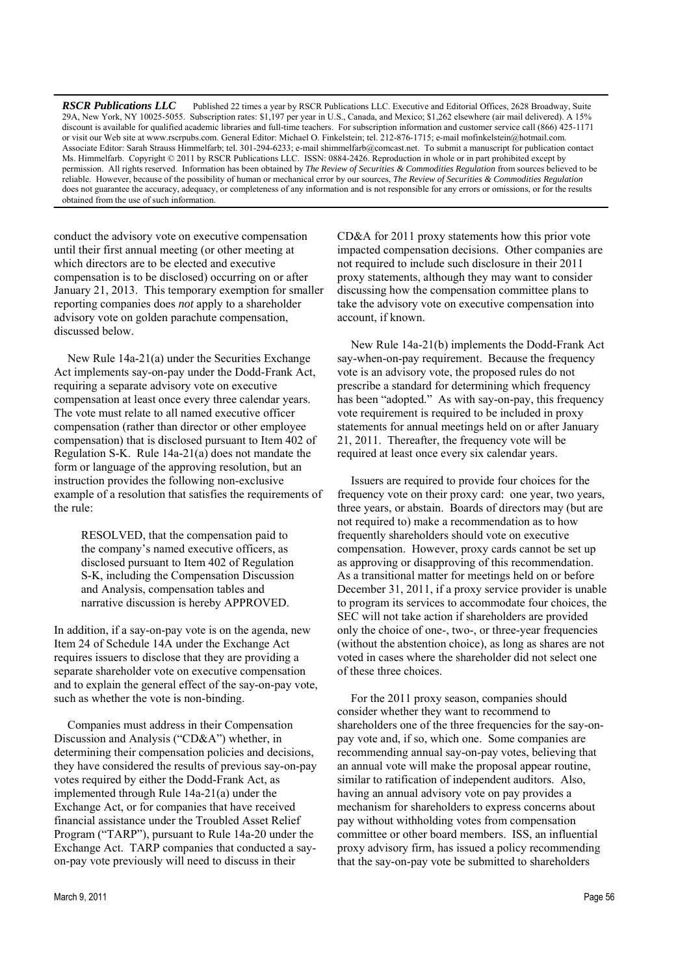*RSCR Publications LLC* Published 22 times a year by RSCR Publications LLC. Executive and Editorial Offices, 2628 Broadway, Suite 29A, New York, NY 10025-5055. Subscription rates: \$1,197 per year in U.S., Canada, and Mexico; \$1,262 elsewhere (air mail delivered). A 15% discount is available for qualified academic libraries and full-time teachers. For subscription information and customer service call (866) 425-1171 or visit our Web site at www.rscrpubs.com. General Editor: Michael O. Finkelstein; tel. 212-876-1715; e-mail mofinkelstein@hotmail.com. Associate Editor: Sarah Strauss Himmelfarb; tel. 301-294-6233; e-mail shimmelfarb@comcast.net. To submit a manuscript for publication contact Ms. Himmelfarb. Copyright © 2011 by RSCR Publications LLC. ISSN: 0884-2426. Reproduction in whole or in part prohibited except by permission. All rights reserved. Information has been obtained by *The Review of Securities & Commodities Regulation* from sources believed to be reliable. However, because of the possibility of human or mechanical error by our sources, *The Review of Securities & Commodities Regulation* does not guarantee the accuracy, adequacy, or completeness of any information and is not responsible for any errors or omissions, or for the results obtained from the use of such information.

conduct the advisory vote on executive compensation until their first annual meeting (or other meeting at which directors are to be elected and executive compensation is to be disclosed) occurring on or after January 21, 2013. This temporary exemption for smaller reporting companies does *not* apply to a shareholder advisory vote on golden parachute compensation, discussed below.

New Rule 14a-21(a) under the Securities Exchange Act implements say-on-pay under the Dodd-Frank Act, requiring a separate advisory vote on executive compensation at least once every three calendar years. The vote must relate to all named executive officer compensation (rather than director or other employee compensation) that is disclosed pursuant to Item 402 of Regulation S-K. Rule 14a-21(a) does not mandate the form or language of the approving resolution, but an instruction provides the following non-exclusive example of a resolution that satisfies the requirements of the rule:

RESOLVED, that the compensation paid to the company's named executive officers, as disclosed pursuant to Item 402 of Regulation S-K, including the Compensation Discussion and Analysis, compensation tables and narrative discussion is hereby APPROVED.

In addition, if a say-on-pay vote is on the agenda, new Item 24 of Schedule 14A under the Exchange Act requires issuers to disclose that they are providing a separate shareholder vote on executive compensation and to explain the general effect of the say-on-pay vote, such as whether the vote is non-binding.

Companies must address in their Compensation Discussion and Analysis ("CD&A") whether, in determining their compensation policies and decisions, they have considered the results of previous say-on-pay votes required by either the Dodd-Frank Act, as implemented through Rule 14a-21(a) under the Exchange Act, or for companies that have received financial assistance under the Troubled Asset Relief Program ("TARP"), pursuant to Rule 14a-20 under the Exchange Act. TARP companies that conducted a sayon-pay vote previously will need to discuss in their

CD&A for 2011 proxy statements how this prior vote impacted compensation decisions. Other companies are not required to include such disclosure in their 2011 proxy statements, although they may want to consider discussing how the compensation committee plans to take the advisory vote on executive compensation into account, if known.

New Rule 14a-21(b) implements the Dodd-Frank Act say-when-on-pay requirement. Because the frequency vote is an advisory vote, the proposed rules do not prescribe a standard for determining which frequency has been "adopted." As with say-on-pay, this frequency vote requirement is required to be included in proxy statements for annual meetings held on or after January 21, 2011. Thereafter, the frequency vote will be required at least once every six calendar years.

Issuers are required to provide four choices for the frequency vote on their proxy card: one year, two years, three years, or abstain. Boards of directors may (but are not required to) make a recommendation as to how frequently shareholders should vote on executive compensation. However, proxy cards cannot be set up as approving or disapproving of this recommendation. As a transitional matter for meetings held on or before December 31, 2011, if a proxy service provider is unable to program its services to accommodate four choices, the SEC will not take action if shareholders are provided only the choice of one-, two-, or three-year frequencies (without the abstention choice), as long as shares are not voted in cases where the shareholder did not select one of these three choices.

For the 2011 proxy season, companies should consider whether they want to recommend to shareholders one of the three frequencies for the say-onpay vote and, if so, which one. Some companies are recommending annual say-on-pay votes, believing that an annual vote will make the proposal appear routine, similar to ratification of independent auditors. Also, having an annual advisory vote on pay provides a mechanism for shareholders to express concerns about pay without withholding votes from compensation committee or other board members. ISS, an influential proxy advisory firm, has issued a policy recommending that the say-on-pay vote be submitted to shareholders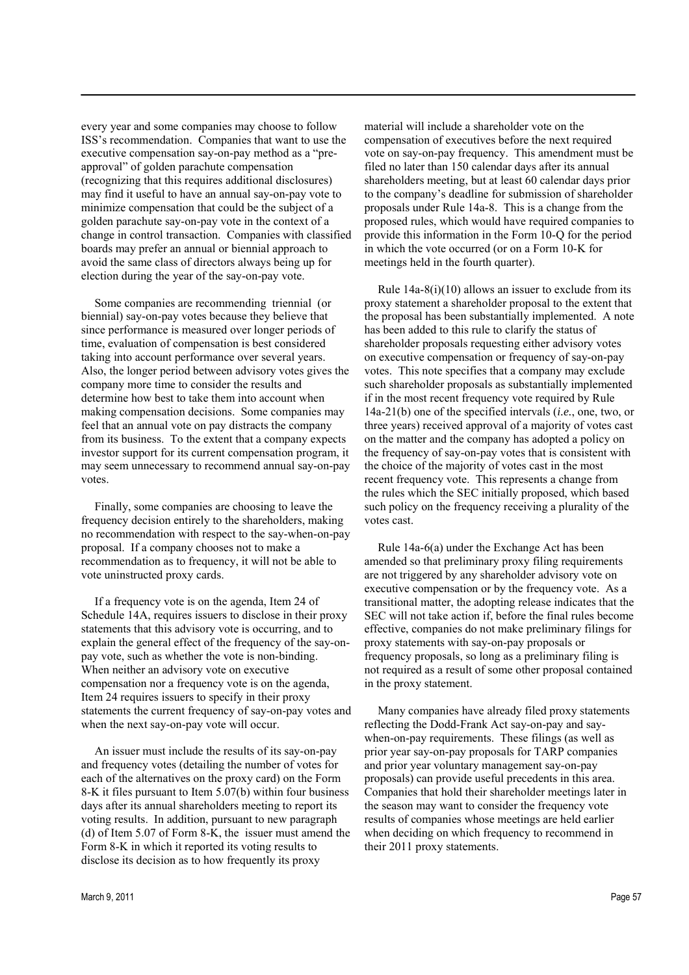every year and some companies may choose to follow ISS's recommendation. Companies that want to use the executive compensation say-on-pay method as a "preapproval" of golden parachute compensation (recognizing that this requires additional disclosures) may find it useful to have an annual say-on-pay vote to minimize compensation that could be the subject of a golden parachute say-on-pay vote in the context of a change in control transaction. Companies with classified boards may prefer an annual or biennial approach to avoid the same class of directors always being up for election during the year of the say-on-pay vote.

Some companies are recommending triennial (or biennial) say-on-pay votes because they believe that since performance is measured over longer periods of time, evaluation of compensation is best considered taking into account performance over several years. Also, the longer period between advisory votes gives the company more time to consider the results and determine how best to take them into account when making compensation decisions. Some companies may feel that an annual vote on pay distracts the company from its business. To the extent that a company expects investor support for its current compensation program, it may seem unnecessary to recommend annual say-on-pay votes.

Finally, some companies are choosing to leave the frequency decision entirely to the shareholders, making no recommendation with respect to the say-when-on-pay proposal. If a company chooses not to make a recommendation as to frequency, it will not be able to vote uninstructed proxy cards.

If a frequency vote is on the agenda, Item 24 of Schedule 14A, requires issuers to disclose in their proxy statements that this advisory vote is occurring, and to explain the general effect of the frequency of the say-onpay vote, such as whether the vote is non-binding. When neither an advisory vote on executive compensation nor a frequency vote is on the agenda, Item 24 requires issuers to specify in their proxy statements the current frequency of say-on-pay votes and when the next say-on-pay vote will occur.

An issuer must include the results of its say-on-pay and frequency votes (detailing the number of votes for each of the alternatives on the proxy card) on the Form 8-K it files pursuant to Item 5.07(b) within four business days after its annual shareholders meeting to report its voting results. In addition, pursuant to new paragraph (d) of Item 5.07 of Form 8-K, the issuer must amend the Form 8-K in which it reported its voting results to disclose its decision as to how frequently its proxy

material will include a shareholder vote on the compensation of executives before the next required vote on say-on-pay frequency. This amendment must be filed no later than 150 calendar days after its annual shareholders meeting, but at least 60 calendar days prior to the company's deadline for submission of shareholder proposals under Rule 14a-8. This is a change from the proposed rules, which would have required companies to provide this information in the Form 10-Q for the period in which the vote occurred (or on a Form 10-K for meetings held in the fourth quarter).

Rule 14a-8(i)(10) allows an issuer to exclude from its proxy statement a shareholder proposal to the extent that the proposal has been substantially implemented. A note has been added to this rule to clarify the status of shareholder proposals requesting either advisory votes on executive compensation or frequency of say-on-pay votes. This note specifies that a company may exclude such shareholder proposals as substantially implemented if in the most recent frequency vote required by Rule 14a-21(b) one of the specified intervals (*i.e.*, one, two, or three years) received approval of a majority of votes cast on the matter and the company has adopted a policy on the frequency of say-on-pay votes that is consistent with the choice of the majority of votes cast in the most recent frequency vote. This represents a change from the rules which the SEC initially proposed, which based such policy on the frequency receiving a plurality of the votes cast.

Rule 14a-6(a) under the Exchange Act has been amended so that preliminary proxy filing requirements are not triggered by any shareholder advisory vote on executive compensation or by the frequency vote. As a transitional matter, the adopting release indicates that the SEC will not take action if, before the final rules become effective, companies do not make preliminary filings for proxy statements with say-on-pay proposals or frequency proposals, so long as a preliminary filing is not required as a result of some other proposal contained in the proxy statement.

Many companies have already filed proxy statements reflecting the Dodd-Frank Act say-on-pay and saywhen-on-pay requirements. These filings (as well as prior year say-on-pay proposals for TARP companies and prior year voluntary management say-on-pay proposals) can provide useful precedents in this area. Companies that hold their shareholder meetings later in the season may want to consider the frequency vote results of companies whose meetings are held earlier when deciding on which frequency to recommend in their 2011 proxy statements.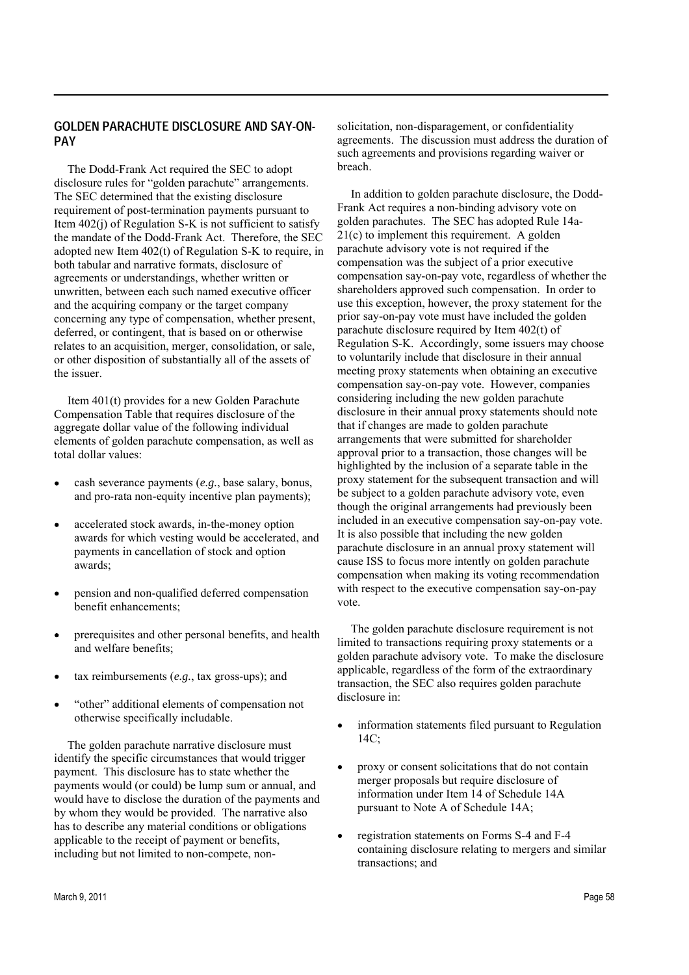#### GOLDEN PARACHUTE DISCLOSURE AND SAY-ON-**PAY**

The Dodd-Frank Act required the SEC to adopt disclosure rules for "golden parachute" arrangements. The SEC determined that the existing disclosure requirement of post-termination payments pursuant to Item  $402(i)$  of Regulation S-K is not sufficient to satisfy the mandate of the Dodd-Frank Act. Therefore, the SEC adopted new Item 402(t) of Regulation S-K to require, in both tabular and narrative formats, disclosure of agreements or understandings, whether written or unwritten, between each such named executive officer and the acquiring company or the target company concerning any type of compensation, whether present, deferred, or contingent, that is based on or otherwise relates to an acquisition, merger, consolidation, or sale, or other disposition of substantially all of the assets of the issuer.

Item 401(t) provides for a new Golden Parachute Compensation Table that requires disclosure of the aggregate dollar value of the following individual elements of golden parachute compensation, as well as total dollar values:

- cash severance payments (*e.g.*, base salary, bonus, and pro-rata non-equity incentive plan payments);
- accelerated stock awards, in-the-money option awards for which vesting would be accelerated, and payments in cancellation of stock and option awards;
- pension and non-qualified deferred compensation benefit enhancements;
- prerequisites and other personal benefits, and health and welfare benefits;
- tax reimbursements (*e.g.*, tax gross-ups); and
- "other" additional elements of compensation not otherwise specifically includable.

The golden parachute narrative disclosure must identify the specific circumstances that would trigger payment. This disclosure has to state whether the payments would (or could) be lump sum or annual, and would have to disclose the duration of the payments and by whom they would be provided. The narrative also has to describe any material conditions or obligations applicable to the receipt of payment or benefits, including but not limited to non-compete, nonsolicitation, non-disparagement, or confidentiality agreements. The discussion must address the duration of such agreements and provisions regarding waiver or breach.

In addition to golden parachute disclosure, the Dodd-Frank Act requires a non-binding advisory vote on golden parachutes. The SEC has adopted Rule 14a-21(c) to implement this requirement. A golden parachute advisory vote is not required if the compensation was the subject of a prior executive compensation say-on-pay vote, regardless of whether the shareholders approved such compensation. In order to use this exception, however, the proxy statement for the prior say-on-pay vote must have included the golden parachute disclosure required by Item 402(t) of Regulation S-K. Accordingly, some issuers may choose to voluntarily include that disclosure in their annual meeting proxy statements when obtaining an executive compensation say-on-pay vote. However, companies considering including the new golden parachute disclosure in their annual proxy statements should note that if changes are made to golden parachute arrangements that were submitted for shareholder approval prior to a transaction, those changes will be highlighted by the inclusion of a separate table in the proxy statement for the subsequent transaction and will be subject to a golden parachute advisory vote, even though the original arrangements had previously been included in an executive compensation say-on-pay vote. It is also possible that including the new golden parachute disclosure in an annual proxy statement will cause ISS to focus more intently on golden parachute compensation when making its voting recommendation with respect to the executive compensation say-on-pay vote.

The golden parachute disclosure requirement is not limited to transactions requiring proxy statements or a golden parachute advisory vote. To make the disclosure applicable, regardless of the form of the extraordinary transaction, the SEC also requires golden parachute disclosure in:

- $\bullet$ information statements filed pursuant to Regulation 14C;
- proxy or consent solicitations that do not contain merger proposals but require disclosure of information under Item 14 of Schedule 14A pursuant to Note A of Schedule 14A;
- registration statements on Forms S-4 and F-4 containing disclosure relating to mergers and similar transactions; and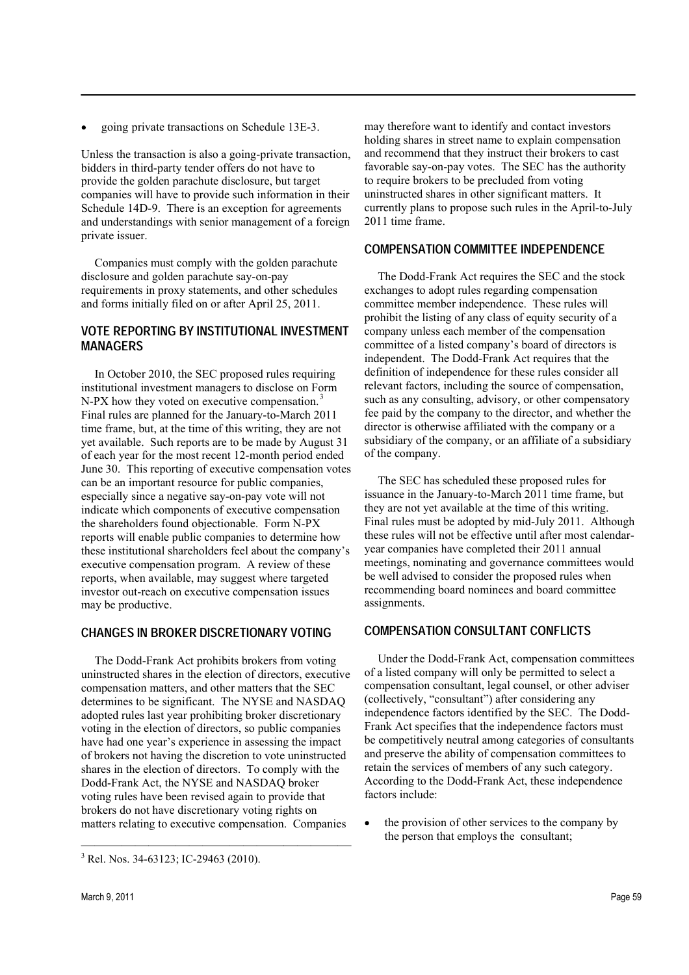going private transactions on Schedule 13E-3.

Unless the transaction is also a going-private transaction, bidders in third-party tender offers do not have to provide the golden parachute disclosure, but target companies will have to provide such information in their Schedule 14D-9. There is an exception for agreements and understandings with senior management of a foreign private issuer.

Companies must comply with the golden parachute disclosure and golden parachute say-on-pay requirements in proxy statements, and other schedules and forms initially filed on or after April 25, 2011.

### **VOTE REPORTING BY INSTITUTIONAL INVESTMENT MANAGERS**

In October 2010, the SEC proposed rules requiring institutional investment managers to disclose on Form N-PX how they voted on executive compensation. Final rules are planned for the January-to-March 2011 time frame, but, at the time of this writing, they are not yet available. Such reports are to be made by August 31 of each year for the most recent 12-month period ended June 30. This reporting of executive compensation votes can be an important resource for public companies, especially since a negative say-on-pay vote will not indicate which components of executive compensation the shareholders found objectionable. Form N-PX reports will enable public companies to determine how these institutional shareholders feel about the company's executive compensation program. A review of these reports, when available, may suggest where targeted investor out-reach on executive compensation issues may be productive.

# **CHANGES IN BROKER DISCRETIONARY VOTING**

The Dodd-Frank Act prohibits brokers from voting uninstructed shares in the election of directors, executive compensation matters, and other matters that the SEC determines to be significant. The NYSE and NASDAQ adopted rules last year prohibiting broker discretionary voting in the election of directors, so public companies have had one year's experience in assessing the impact of brokers not having the discretion to vote uninstructed shares in the election of directors. To comply with the Dodd-Frank Act, the NYSE and NASDAO broker voting rules have been revised again to provide that brokers do not have discretionary voting rights on matters relating to executive compensation. Companies

may therefore want to identify and contact investors holding shares in street name to explain compensation and recommend that they instruct their brokers to cast favorable say-on-pay votes. The SEC has the authority to require brokers to be precluded from voting uninstructed shares in other significant matters. It currently plans to propose such rules in the April-to-July 2011 time frame.

#### **COMPENSATION COMMITTEE INDEPENDENCE**

The Dodd-Frank Act requires the SEC and the stock exchanges to adopt rules regarding compensation committee member independence. These rules will prohibit the listing of any class of equity security of a company unless each member of the compensation committee of a listed company's board of directors is independent. The Dodd-Frank Act requires that the definition of independence for these rules consider all relevant factors, including the source of compensation, such as any consulting, advisory, or other compensatory fee paid by the company to the director, and whether the director is otherwise affiliated with the company or a subsidiary of the company, or an affiliate of a subsidiary of the company.

The SEC has scheduled these proposed rules for issuance in the January-to-March 2011 time frame, but they are not yet available at the time of this writing. Final rules must be adopted by mid-July 2011. Although these rules will not be effective until after most calendaryear companies have completed their 2011 annual meetings, nominating and governance committees would be well advised to consider the proposed rules when recommending board nominees and board committee assignments.

#### **COMPENSATION CONSULTANT CONFLICTS**

Under the Dodd-Frank Act, compensation committees of a listed company will only be permitted to select a compensation consultant, legal counsel, or other adviser (collectively, "consultant") after considering any independence factors identified by the SEC. The Dodd-Frank Act specifies that the independence factors must be competitively neutral among categories of consultants and preserve the ability of compensation committees to retain the services of members of any such category. According to the Dodd-Frank Act, these independence factors include:

the provision of other services to the company by the person that employs the consultant;

 $3$  Rel. Nos. 34-63123; IC-29463 (2010).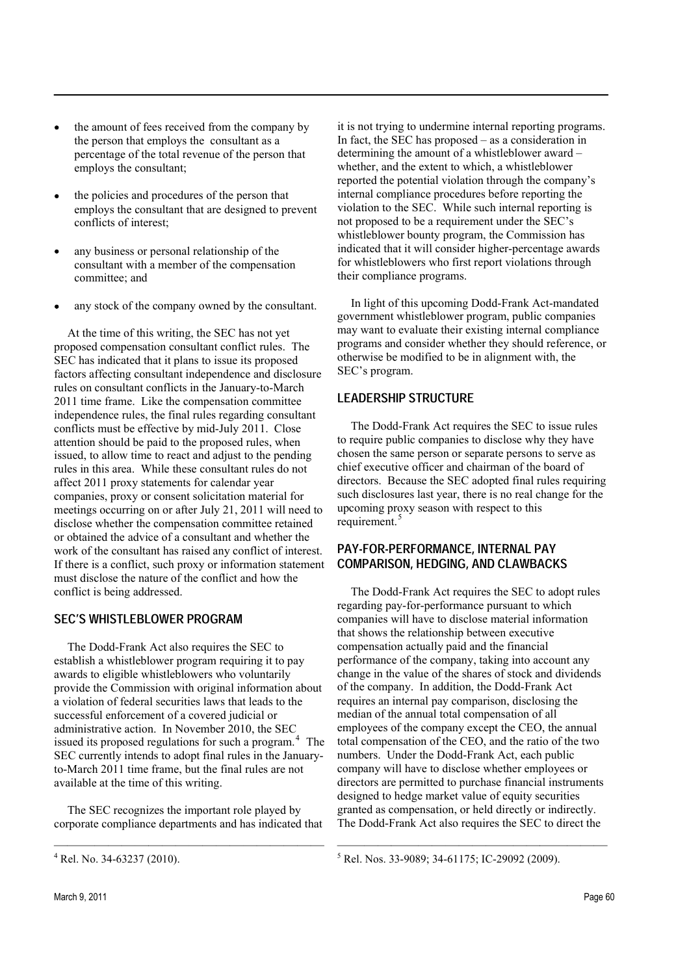- the amount of fees received from the company by the person that employs the consultant as a percentage of the total revenue of the person that employs the consultant;
- the policies and procedures of the person that employs the consultant that are designed to prevent conflicts of interest;
- any business or personal relationship of the consultant with a member of the compensation committee; and
- any stock of the company owned by the consultant.

At the time of this writing, the SEC has not yet proposed compensation consultant conflict rules. The SEC has indicated that it plans to issue its proposed factors affecting consultant independence and disclosure rules on consultant conflicts in the January-to-March 2011 time frame. Like the compensation committee independence rules, the final rules regarding consultant conflicts must be effective by mid-July 2011. Close attention should be paid to the proposed rules, when issued, to allow time to react and adjust to the pending rules in this area. While these consultant rules do not affect 2011 proxy statements for calendar year companies, proxy or consent solicitation material for meetings occurring on or after July 21, 2011 will need to disclose whether the compensation committee retained or obtained the advice of a consultant and whether the work of the consultant has raised any conflict of interest. If there is a conflict, such proxy or information statement must disclose the nature of the conflict and how the conflict is being addressed.

#### SEC'S WHISTLEBLOWER PROGRAM

The Dodd-Frank Act also requires the SEC to establish a whistleblower program requiring it to pay awards to eligible whistleblowers who voluntarily provide the Commission with original information about a violation of federal securities laws that leads to the successful enforcement of a covered judicial or administrative action. In November 2010, the SEC issued its proposed regulations for such a program. $<sup>4</sup>$  The</sup> SEC currently intends to adopt final rules in the Januaryto-March 2011 time frame, but the final rules are not available at the time of this writing.

The SEC recognizes the important role played by corporate compliance departments and has indicated that it is not trying to undermine internal reporting programs. In fact, the SEC has proposed  $-$  as a consideration in determining the amount of a whistleblower award whether, and the extent to which, a whistleblower reported the potential violation through the company's internal compliance procedures before reporting the violation to the SEC. While such internal reporting is not proposed to be a requirement under the SEC's whistleblower bounty program, the Commission has indicated that it will consider higher-percentage awards for whistleblowers who first report violations through their compliance programs.

In light of this upcoming Dodd-Frank Act-mandated government whistleblower program, public companies may want to evaluate their existing internal compliance programs and consider whether they should reference, or otherwise be modified to be in alignment with, the SEC's program.

# LEADERSHIP STRUCTURE

The Dodd-Frank Act requires the SEC to issue rules to require public companies to disclose why they have chosen the same person or separate persons to serve as chief executive officer and chairman of the board of directors. Because the SEC adopted final rules requiring such disclosures last year, there is no real change for the upcoming proxy season with respect to this requirement.<sup>5</sup>

### PAY-FOR-PERFORMANCE, INTERNAL PAY COMPARISON, HEDGING, AND CLAWBACKS

The Dodd-Frank Act requires the SEC to adopt rules regarding pay-for-performance pursuant to which companies will have to disclose material information that shows the relationship between executive compensation actually paid and the financial performance of the company, taking into account any change in the value of the shares of stock and dividends of the company. In addition, the Dodd-Frank Act requires an internal pay comparison, disclosing the median of the annual total compensation of all employees of the company except the CEO, the annual total compensation of the CEO, and the ratio of the two numbers. Under the Dodd-Frank Act, each public company will have to disclose whether employees or directors are permitted to purchase financial instruments designed to hedge market value of equity securities granted as compensation, or held directly or indirectly. The Dodd-Frank Act also requires the SEC to direct the

 $4$  Rel. No. 34-63237 (2010).

<sup>5</sup> Rel. Nos. 33-9089; 34-61175; IC-29092 (2009).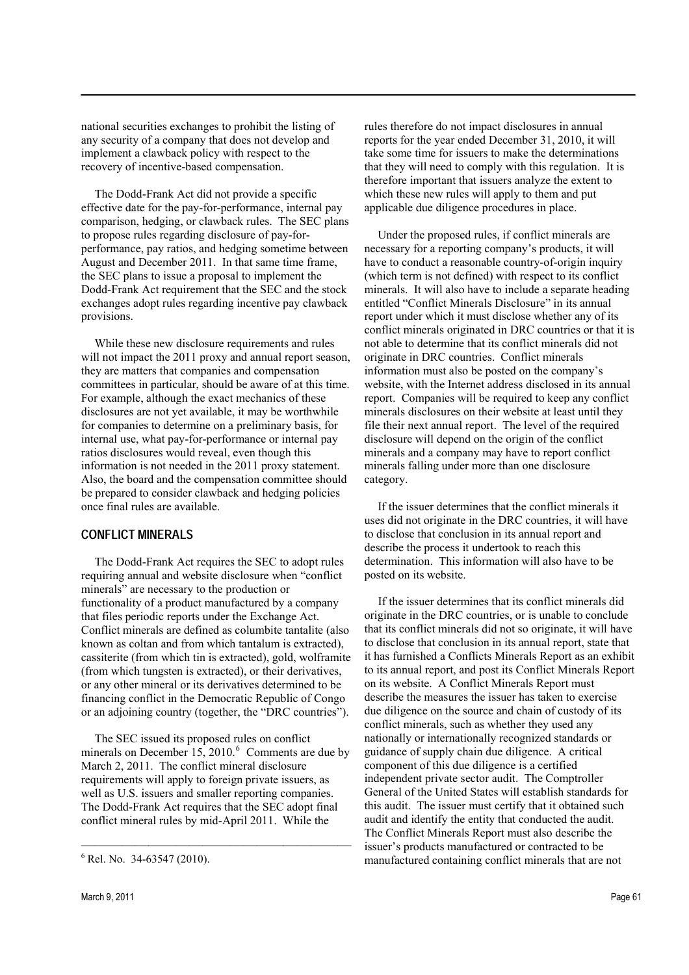national securities exchanges to prohibit the listing of any security of a company that does not develop and implement a clawback policy with respect to the recovery of incentive-based compensation.

The Dodd-Frank Act did not provide a specific effective date for the pay-for-performance, internal pay comparison, hedging, or clawback rules. The SEC plans to propose rules regarding disclosure of pay-forperformance, pay ratios, and hedging sometime between August and December 2011. In that same time frame, the SEC plans to issue a proposal to implement the Dodd-Frank Act requirement that the SEC and the stock exchanges adopt rules regarding incentive pay clawback provisions.

While these new disclosure requirements and rules will not impact the 2011 proxy and annual report season, they are matters that companies and compensation committees in particular, should be aware of at this time. For example, although the exact mechanics of these disclosures are not yet available, it may be worthwhile for companies to determine on a preliminary basis, for internal use, what pay-for-performance or internal pay ratios disclosures would reveal, even though this information is not needed in the 2011 proxy statement. Also, the board and the compensation committee should be prepared to consider clawback and hedging policies once final rules are available.

#### **CONFLICT MINERALS**

The Dodd-Frank Act requires the SEC to adopt rules requiring annual and website disclosure when "conflict" minerals" are necessary to the production or functionality of a product manufactured by a company that files periodic reports under the Exchange Act. Conflict minerals are defined as columbite tantalite (also known as coltan and from which tantalum is extracted), cassiterite (from which tin is extracted), gold, wolframite (from which tungsten is extracted), or their derivatives, or any other mineral or its derivatives determined to be financing conflict in the Democratic Republic of Congo or an adjoining country (together, the "DRC countries").

The SEC issued its proposed rules on conflict minerals on December 15, 2010. $^6$  Comments are due by March 2, 2011. The conflict mineral disclosure requirements will apply to foreign private issuers, as well as U.S. issuers and smaller reporting companies. The Dodd-Frank Act requires that the SEC adopt final conflict mineral rules by mid-April 2011. While the

rules therefore do not impact disclosures in annual reports for the year ended December 31, 2010, it will take some time for issuers to make the determinations that they will need to comply with this regulation. It is therefore important that issuers analyze the extent to which these new rules will apply to them and put applicable due diligence procedures in place.

Under the proposed rules, if conflict minerals are necessary for a reporting company's products, it will have to conduct a reasonable country-of-origin inquiry (which term is not defined) with respect to its conflict minerals. It will also have to include a separate heading entitled "Conflict Minerals Disclosure" in its annual report under which it must disclose whether any of its conflict minerals originated in DRC countries or that it is not able to determine that its conflict minerals did not originate in DRC countries. Conflict minerals information must also be posted on the company's website, with the Internet address disclosed in its annual report. Companies will be required to keep any conflict minerals disclosures on their website at least until they file their next annual report. The level of the required disclosure will depend on the origin of the conflict minerals and a company may have to report conflict minerals falling under more than one disclosure category.

If the issuer determines that the conflict minerals it uses did not originate in the DRC countries, it will have to disclose that conclusion in its annual report and describe the process it undertook to reach this determination. This information will also have to be posted on its website.

If the issuer determines that its conflict minerals did originate in the DRC countries, or is unable to conclude that its conflict minerals did not so originate, it will have to disclose that conclusion in its annual report, state that it has furnished a Conflicts Minerals Report as an exhibit to its annual report, and post its Conflict Minerals Report on its website. A Conflict Minerals Report must describe the measures the issuer has taken to exercise due diligence on the source and chain of custody of its conflict minerals, such as whether they used any nationally or internationally recognized standards or guidance of supply chain due diligence. A critical component of this due diligence is a certified independent private sector audit. The Comptroller General of the United States will establish standards for this audit. The issuer must certify that it obtained such audit and identify the entity that conducted the audit. The Conflict Minerals Report must also describe the issuer's products manufactured or contracted to be manufactured containing conflict minerals that are not

 $6$  Rel. No. 34-63547 (2010).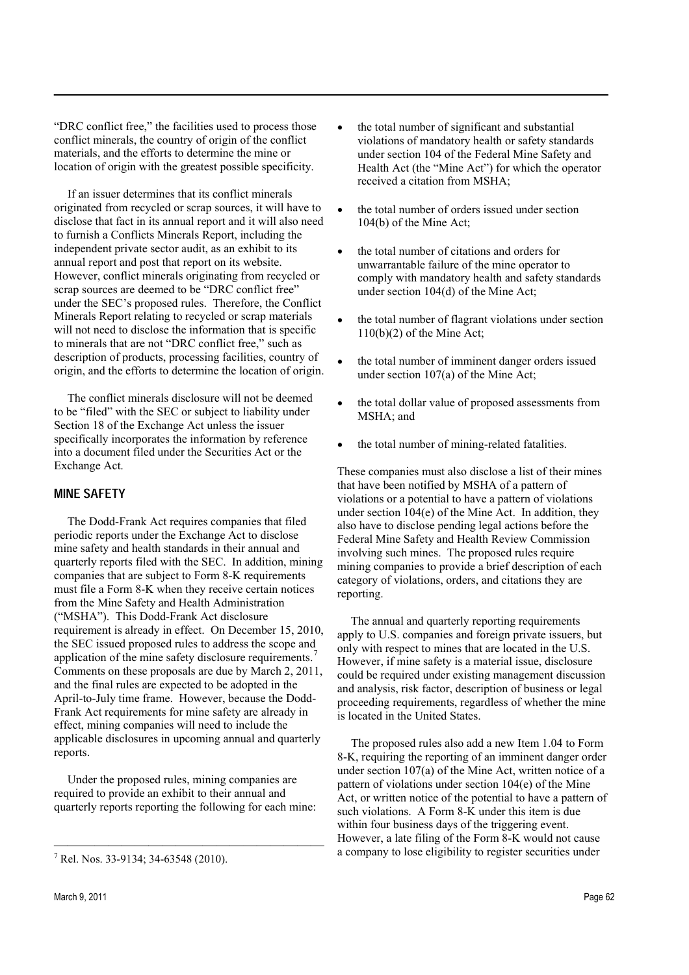"DRC conflict free," the facilities used to process those conflict minerals, the country of origin of the conflict materials, and the efforts to determine the mine or location of origin with the greatest possible specificity.

If an issuer determines that its conflict minerals originated from recycled or scrap sources, it will have to disclose that fact in its annual report and it will also need to furnish a Conflicts Minerals Report, including the independent private sector audit, as an exhibit to its annual report and post that report on its website. However, conflict minerals originating from recycled or scrap sources are deemed to be "DRC conflict free" under the SEC's proposed rules. Therefore, the Conflict Minerals Report relating to recycled or scrap materials will not need to disclose the information that is specific to minerals that are not "DRC conflict free," such as description of products, processing facilities, country of origin, and the efforts to determine the location of origin.

The conflict minerals disclosure will not be deemed to be "filed" with the SEC or subject to liability under Section 18 of the Exchange Act unless the issuer specifically incorporates the information by reference into a document filed under the Securities Act or the Exchange Act.

#### **MINE SAFETY**

The Dodd-Frank Act requires companies that filed periodic reports under the Exchange Act to disclose mine safety and health standards in their annual and quarterly reports filed with the SEC. In addition, mining companies that are subject to Form 8-K requirements must file a Form 8-K when they receive certain notices from the Mine Safety and Health Administration ("MSHA"). This Dodd-Frank Act disclosure requirement is already in effect. On December 15, 2010, the SEC issued proposed rules to address the scope and application of the mine safety disclosure requirements.<sup>7</sup> Comments on these proposals are due by March 2, 2011, and the final rules are expected to be adopted in the April-to-July time frame. However, because the Dodd-Frank Act requirements for mine safety are already in effect, mining companies will need to include the applicable disclosures in upcoming annual and quarterly reports.

Under the proposed rules, mining companies are required to provide an exhibit to their annual and quarterly reports reporting the following for each mine:

violations of mandatory health or safety standards under section 104 of the Federal Mine Safety and Health Act (the "Mine Act") for which the operator received a citation from MSHA;

the total number of significant and substantial

- the total number of orders issued under section 104(b) of the Mine Act;
- the total number of citations and orders for unwarrantable failure of the mine operator to comply with mandatory health and safety standards under section 104(d) of the Mine Act;
- the total number of flagrant violations under section  $110(b)(2)$  of the Mine Act;
- the total number of imminent danger orders issued under section 107(a) of the Mine Act;
- the total dollar value of proposed assessments from MSHA; and
- the total number of mining-related fatalities.

These companies must also disclose a list of their mines that have been notified by MSHA of a pattern of violations or a potential to have a pattern of violations under section 104(e) of the Mine Act. In addition, they also have to disclose pending legal actions before the Federal Mine Safety and Health Review Commission involving such mines. The proposed rules require mining companies to provide a brief description of each category of violations, orders, and citations they are reporting.

The annual and quarterly reporting requirements apply to U.S. companies and foreign private issuers, but only with respect to mines that are located in the U.S. However, if mine safety is a material issue, disclosure could be required under existing management discussion and analysis, risk factor, description of business or legal proceeding requirements, regardless of whether the mine is located in the United States.

The proposed rules also add a new Item 1.04 to Form 8-K, requiring the reporting of an imminent danger order under section 107(a) of the Mine Act, written notice of a pattern of violations under section 104(e) of the Mine Act, or written notice of the potential to have a pattern of such violations. A Form 8-K under this item is due within four business days of the triggering event. However, a late filing of the Form 8-K would not cause a company to lose eligibility to register securities under

<sup>7</sup> Rel. Nos. 33-9134; 34-63548 (2010).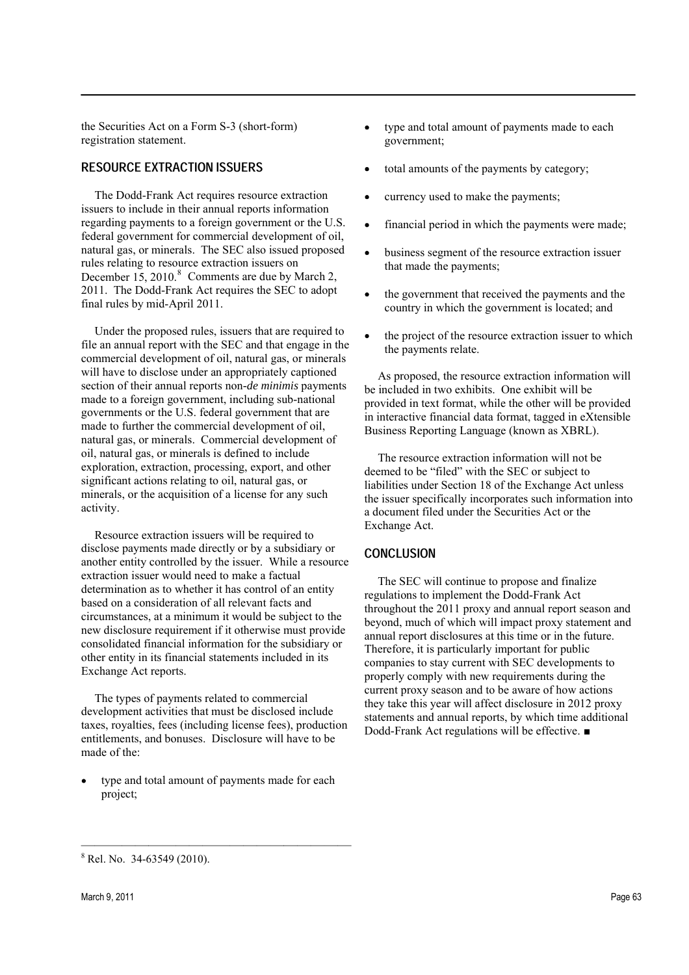the Securities Act on a Form S-3 (short-form) registration statement.

#### RESOURCE EXTRACTION ISSUERS

The Dodd-Frank Act requires resource extraction issuers to include in their annual reports information regarding payments to a foreign government or the U.S. federal government for commercial development of oil, natural gas, or minerals. The SEC also issued proposed rules relating to resource extraction issuers on December  $15, 2010$ .<sup>8</sup> Comments are due by March 2, 2011. The Dodd-Frank Act requires the SEC to adopt final rules by mid-April 2011.

Under the proposed rules, issuers that are required to file an annual report with the SEC and that engage in the commercial development of oil, natural gas, or minerals will have to disclose under an appropriately captioned section of their annual reports non*-de minimis* payments made to a foreign government, including sub-national governments or the U.S. federal government that are made to further the commercial development of oil, natural gas, or minerals. Commercial development of oil, natural gas, or minerals is defined to include exploration, extraction, processing, export, and other significant actions relating to oil, natural gas, or minerals, or the acquisition of a license for any such activity.

Resource extraction issuers will be required to disclose payments made directly or by a subsidiary or another entity controlled by the issuer. While a resource extraction issuer would need to make a factual determination as to whether it has control of an entity based on a consideration of all relevant facts and circumstances, at a minimum it would be subject to the new disclosure requirement if it otherwise must provide consolidated financial information for the subsidiary or other entity in its financial statements included in its Exchange Act reports.

The types of payments related to commercial development activities that must be disclosed include taxes, royalties, fees (including license fees), production entitlements, and bonuses. Disclosure will have to be made of the:

type and total amount of payments made for each project;

- type and total amount of payments made to each government;
- total amounts of the payments by category;
- currency used to make the payments;
- financial period in which the payments were made;
- business segment of the resource extraction issuer that made the payments;
- the government that received the payments and the country in which the government is located; and
- the project of the resource extraction issuer to which the payments relate.

As proposed, the resource extraction information will be included in two exhibits. One exhibit will be provided in text format, while the other will be provided in interactive financial data format, tagged in eXtensible Business Reporting Language (known as XBRL).

The resource extraction information will not be deemed to be "filed" with the SEC or subject to liabilities under Section 18 of the Exchange Act unless the issuer specifically incorporates such information into a document filed under the Securities Act or the Exchange Act.

#### **CONCLUSION**

The SEC will continue to propose and finalize regulations to implement the Dodd-Frank Act throughout the 2011 proxy and annual report season and beyond, much of which will impact proxy statement and annual report disclosures at this time or in the future. Therefore, it is particularly important for public companies to stay current with SEC developments to properly comply with new requirements during the current proxy season and to be aware of how actions they take this year will affect disclosure in 2012 proxy statements and annual reports, by which time additional Dodd-Frank Act regulations will be effective. ■

 $8$  Rel. No. 34-63549 (2010).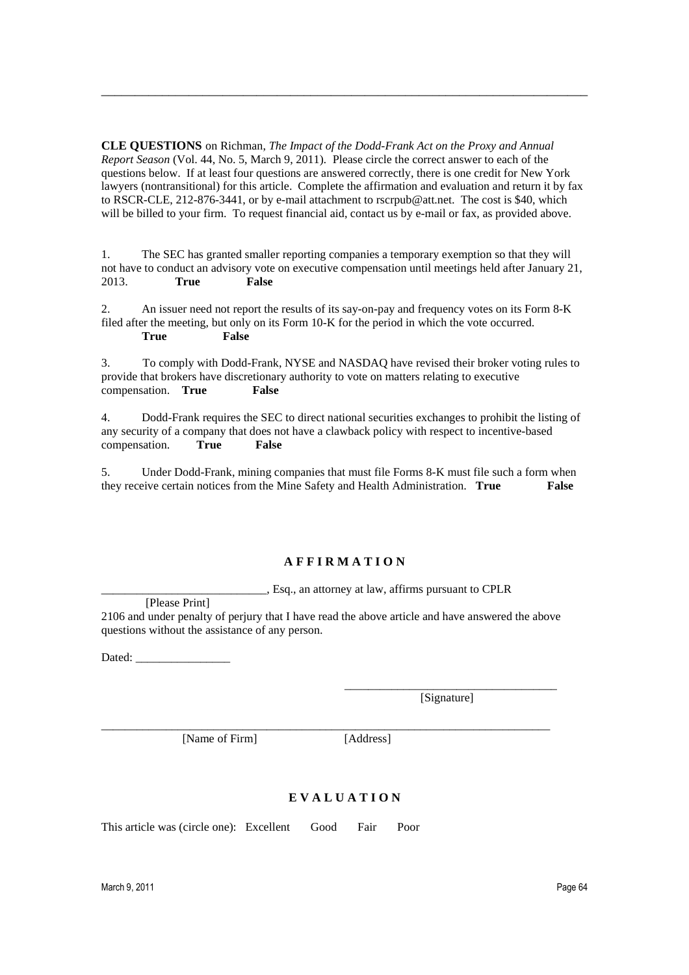**CLE QUESTIONS** on Richman, *The Impact of the Dodd-Frank Act on the Proxy and Annual Report Season* (Vol. 44, No. 5, March 9, 2011)*.* Please circle the correct answer to each of the questions below. If at least four questions are answered correctly, there is one credit for New York lawyers (nontransitional) for this article. Complete the affirmation and evaluation and return it by fax to RSCR-CLE, 212-876-3441, or by e-mail attachment to rscrpub@att.net. The cost is \$40, which will be billed to your firm. To request financial aid, contact us by e-mail or fax, as provided above.

\_\_\_\_\_\_\_\_\_\_\_\_\_\_\_\_\_\_\_\_\_\_\_\_\_\_\_\_\_\_\_\_\_\_\_\_\_\_\_\_\_\_\_\_\_\_\_\_\_\_\_\_\_\_\_\_\_\_\_\_\_\_\_\_\_\_\_\_\_\_\_\_

1. The SEC has granted smaller reporting companies a temporary exemption so that they will not have to conduct an advisory vote on executive compensation until meetings held after January 21, 2013. **True False**

2. An issuer need not report the results of its say-on-pay and frequency votes on its Form 8-K filed after the meeting, but only on its Form 10-K for the period in which the vote occurred. **True False**

3. To comply with Dodd-Frank, NYSE and NASDAQ have revised their broker voting rules to provide that brokers have discretionary authority to vote on matters relating to executive compensation. **True False**

4. Dodd-Frank requires the SEC to direct national securities exchanges to prohibit the listing of any security of a company that does not have a clawback policy with respect to incentive-based compensation. **True False**

5. Under Dodd-Frank, mining companies that must file Forms 8-K must file such a form when they receive certain notices from the Mine Safety and Health Administration. **True False**

#### **A F F I R M A T I O N**

\_\_\_\_\_\_\_\_\_\_\_\_\_\_\_\_\_\_\_\_\_\_\_\_\_\_\_\_, Esq., an attorney at law, affirms pursuant to CPLR

[Please Print] 2106 and under penalty of perjury that I have read the above article and have answered the above questions without the assistance of any person.

\_\_\_\_\_\_\_\_\_\_\_\_\_\_\_\_\_\_\_\_\_\_\_\_\_\_\_\_\_\_\_\_\_\_\_\_\_\_\_\_\_\_\_\_\_\_\_\_\_\_\_\_\_\_\_\_\_\_\_\_\_\_\_\_\_\_\_\_\_\_\_\_\_\_\_\_

Dated: \_\_\_\_\_\_\_\_\_\_\_\_\_\_\_\_

\_\_\_\_\_\_\_\_\_\_\_\_\_\_\_\_\_\_\_\_\_\_\_\_\_\_\_\_\_\_\_\_\_\_\_\_ [Signature]

[Name of Firm] [Address]

# **E V A L U A T I O N**

This article was (circle one): Excellent Good Fair Poor